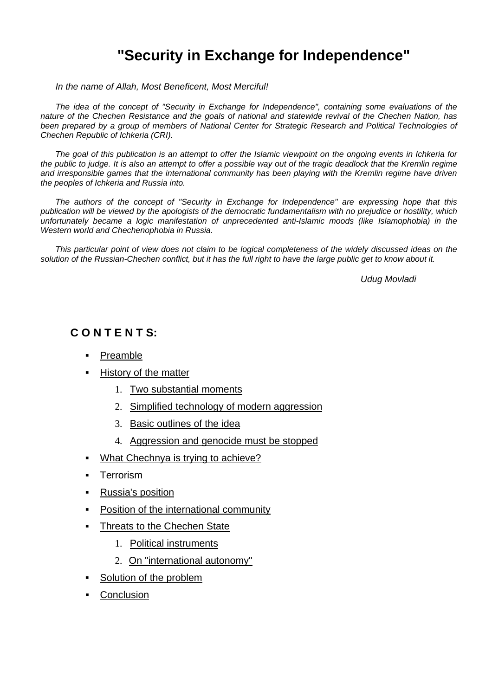# **"Security in Exchange for Independence"**

*In the name of Allah, Most Beneficent, Most Merciful!* 

*The idea of the concept of "Security in Exchange for Independence", containing some evaluations of the nature of the Chechen Resistance and the goals of national and statewide revival of the Chechen Nation, has*  been prepared by a group of members of National Center for Strategic Research and Political Technologies of *Chechen Republic of Ichkeria (CRI).* 

*The goal of this publication is an attempt to offer the Islamic viewpoint on the ongoing events in Ichkeria for*  the public to judge. It is also an attempt to offer a possible way out of the tragic deadlock that the Kremlin regime *and irresponsible games that the international community has been playing with the Kremlin regime have driven the peoples of Ichkeria and Russia into.* 

*The authors of the concept of "Security in Exchange for Independence" are expressing hope that this publication will be viewed by the apologists of the democratic fundamentalism with no prejudice or hostility, which unfortunately became a logic manifestation of unprecedented anti-Islamic moods (like Islamophobia) in the Western world and Chechenophobia in Russia.* 

<span id="page-0-0"></span>*This particular point of view does not claim to be logical completeness of the widely discussed ideas on the solution of the Russian-Chechen conflict, but it has the full right to have the large public get to know about it.* 

*Udug Movladi* 

# **C O N T E N T S:**

- [Preamble](#page-1-0)
- [History of the matter](#page-1-1)
	- 1. [Two substantial moments](#page-1-2)
	- 2. [Simplified technology of modern aggression](#page-2-0)
	- 3. [Basic outlines of the idea](#page-5-0)
	- 4. [Aggression and genocide must be stopped](#page-5-1)
- [What Chechnya is trying to achieve?](#page-6-0)
- **[Terrorism](#page-7-0)**
- [Russia's position](#page-8-0)
- [Position of the international community](#page-9-0)
- [Threats to the Chechen State](#page-10-0)
	- 1. [Political instruments](#page-11-0)
	- 2. [On "international autonomy"](#page-12-0)
- [Solution of the problem](#page-12-1)
- **[Conclusion](#page-14-0)**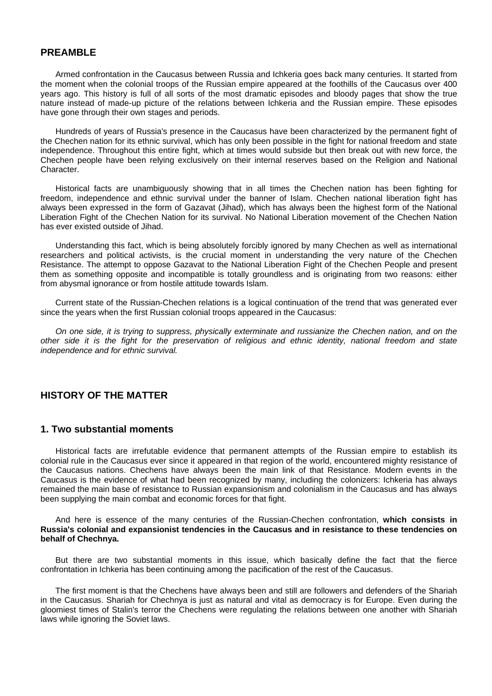# <span id="page-1-0"></span>**[PREAMBLE](#page-0-0)**

Armed confrontation in the Caucasus between Russia and Ichkeria goes back many centuries. It started from the moment when the colonial troops of the Russian empire appeared at the foothills of the Caucasus over 400 years ago. This history is full of all sorts of the most dramatic episodes and bloody pages that show the true nature instead of made-up picture of the relations between Ichkeria and the Russian empire. These episodes have gone through their own stages and periods.

Hundreds of years of Russia's presence in the Caucasus have been characterized by the permanent fight of the Chechen nation for its ethnic survival, which has only been possible in the fight for national freedom and state independence. Throughout this entire fight, which at times would subside but then break out with new force, the Chechen people have been relying exclusively on their internal reserves based on the Religion and National **Character** 

Historical facts are unambiguously showing that in all times the Chechen nation has been fighting for freedom, independence and ethnic survival under the banner of Islam. Chechen national liberation fight has always been expressed in the form of Gazavat (Jihad), which has always been the highest form of the National Liberation Fight of the Chechen Nation for its survival. No National Liberation movement of the Chechen Nation has ever existed outside of Jihad.

Understanding this fact, which is being absolutely forcibly ignored by many Chechen as well as international researchers and political activists, is the crucial moment in understanding the very nature of the Chechen Resistance. The attempt to oppose Gazavat to the National Liberation Fight of the Chechen People and present them as something opposite and incompatible is totally groundless and is originating from two reasons: either from abysmal ignorance or from hostile attitude towards Islam.

Current state of the Russian-Chechen relations is a logical continuation of the trend that was generated ever since the years when the first Russian colonial troops appeared in the Caucasus:

*On one side, it is trying to suppress, physically exterminate and russianize the Chechen nation, and on the other side it is the fight for the preservation of religious and ethnic identity, national freedom and state independence and for ethnic survival.*

# <span id="page-1-1"></span>**[HISTORY OF THE MATTER](#page-0-0)**

## <span id="page-1-2"></span>**[1. Two substantial moments](#page-0-0)**

Historical facts are irrefutable evidence that permanent attempts of the Russian empire to establish its colonial rule in the Caucasus ever since it appeared in that region of the world, encountered mighty resistance of the Caucasus nations. Chechens have always been the main link of that Resistance. Modern events in the Caucasus is the evidence of what had been recognized by many, including the colonizers: Ichkeria has always remained the main base of resistance to Russian expansionism and colonialism in the Caucasus and has always been supplying the main combat and economic forces for that fight.

And here is essence of the many centuries of the Russian-Chechen confrontation, **which consists in Russia's colonial and expansionist tendencies in the Caucasus and in resistance to these tendencies on behalf of Chechnya.**

But there are two substantial moments in this issue, which basically define the fact that the fierce confrontation in Ichkeria has been continuing among the pacification of the rest of the Caucasus.

The first moment is that the Chechens have always been and still are followers and defenders of the Shariah in the Caucasus. Shariah for Chechnya is just as natural and vital as democracy is for Europe. Even during the gloomiest times of Stalin's terror the Chechens were regulating the relations between one another with Shariah laws while ignoring the Soviet laws.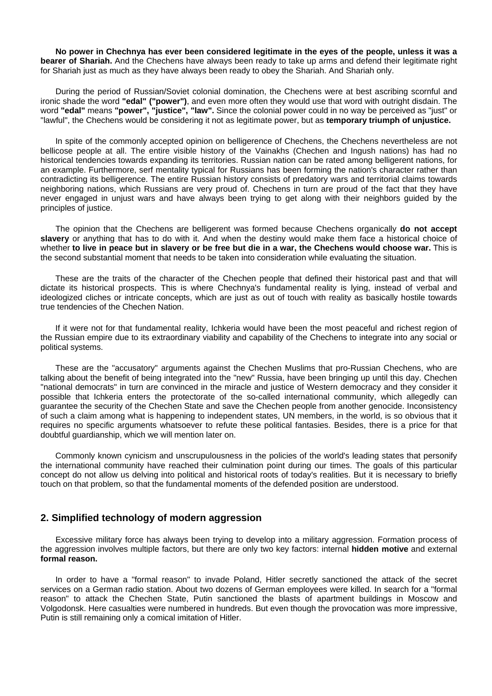**No power in Chechnya has ever been considered legitimate in the eyes of the people, unless it was a bearer of Shariah.** And the Chechens have always been ready to take up arms and defend their legitimate right for Shariah just as much as they have always been ready to obey the Shariah. And Shariah only.

During the period of Russian/Soviet colonial domination, the Chechens were at best ascribing scornful and ironic shade the word **"edal" ("power")**, and even more often they would use that word with outright disdain. The word **"edal"** means **"power", "justice", "law".** Since the colonial power could in no way be perceived as "just" or "lawful", the Chechens would be considering it not as legitimate power, but as **temporary triumph of unjustice.** 

In spite of the commonly accepted opinion on belligerence of Chechens, the Chechens nevertheless are not bellicose people at all. The entire visible history of the Vainakhs (Chechen and Ingush nations) has had no historical tendencies towards expanding its territories. Russian nation can be rated among belligerent nations, for an example. Furthermore, serf mentality typical for Russians has been forming the nation's character rather than contradicting its belligerence. The entire Russian history consists of predatory wars and territorial claims towards neighboring nations, which Russians are very proud of. Chechens in turn are proud of the fact that they have never engaged in unjust wars and have always been trying to get along with their neighbors guided by the principles of justice.

The opinion that the Chechens are belligerent was formed because Chechens organically **do not accept slavery** or anything that has to do with it. And when the destiny would make them face a historical choice of whether **to live in peace but in slavery or be free but die in a war, the Chechens would choose war.** This is the second substantial moment that needs to be taken into consideration while evaluating the situation.

These are the traits of the character of the Chechen people that defined their historical past and that will dictate its historical prospects. This is where Chechnya's fundamental reality is lying, instead of verbal and ideologized cliches or intricate concepts, which are just as out of touch with reality as basically hostile towards true tendencies of the Chechen Nation.

If it were not for that fundamental reality, Ichkeria would have been the most peaceful and richest region of the Russian empire due to its extraordinary viability and capability of the Chechens to integrate into any social or political systems.

These are the "accusatory" arguments against the Chechen Muslims that pro-Russian Chechens, who are talking about the benefit of being integrated into the "new" Russia, have been bringing up until this day. Chechen "national democrats" in turn are convinced in the miracle and justice of Western democracy and they consider it possible that Ichkeria enters the protectorate of the so-called international community, which allegedly can guarantee the security of the Chechen State and save the Chechen people from another genocide. Inconsistency of such a claim among what is happening to independent states, UN members, in the world, is so obvious that it requires no specific arguments whatsoever to refute these political fantasies. Besides, there is a price for that doubtful guardianship, which we will mention later on.

Commonly known cynicism and unscrupulousness in the policies of the world's leading states that personify the international community have reached their culmination point during our times. The goals of this particular concept do not allow us delving into political and historical roots of today's realities. But it is necessary to briefly touch on that problem, so that the fundamental moments of the defended position are understood.

#### <span id="page-2-0"></span>**[2. Simplified technology of modern aggression](#page-0-0)**

Excessive military force has always been trying to develop into a military aggression. Formation process of the aggression involves multiple factors, but there are only two key factors: internal **hidden motive** and external **formal reason.**

In order to have a "formal reason" to invade Poland, Hitler secretly sanctioned the attack of the secret services on a German radio station. About two dozens of German employees were killed. In search for a "formal reason" to attack the Chechen State, Putin sanctioned the blasts of apartment buildings in Moscow and Volgodonsk. Here casualties were numbered in hundreds. But even though the provocation was more impressive, Putin is still remaining only a comical imitation of Hitler.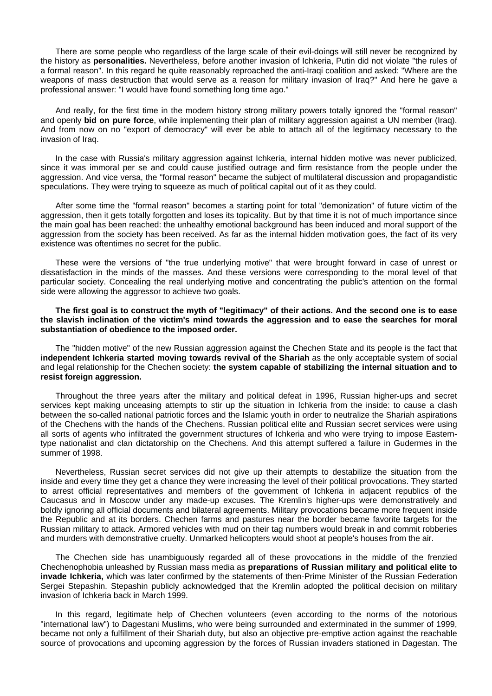There are some people who regardless of the large scale of their evil-doings will still never be recognized by the history as **personalities.** Nevertheless, before another invasion of Ichkeria, Putin did not violate "the rules of a formal reason". In this regard he quite reasonably reproached the anti-Iraqi coalition and asked: "Where are the weapons of mass destruction that would serve as a reason for military invasion of Iraq?" And here he gave a professional answer: "I would have found something long time ago."

And really, for the first time in the modern history strong military powers totally ignored the "formal reason" and openly **bid on pure force**, while implementing their plan of military aggression against a UN member (Iraq). And from now on no "export of democracy" will ever be able to attach all of the legitimacy necessary to the invasion of Iraq.

In the case with Russia's military aggression against Ichkeria, internal hidden motive was never publicized, since it was immoral per se and could cause justified outrage and firm resistance from the people under the aggression. And vice versa, the "formal reason" became the subject of multilateral discussion and propagandistic speculations. They were trying to squeeze as much of political capital out of it as they could.

After some time the "formal reason" becomes a starting point for total "demonization" of future victim of the aggression, then it gets totally forgotten and loses its topicality. But by that time it is not of much importance since the main goal has been reached: the unhealthy emotional background has been induced and moral support of the aggression from the society has been received. As far as the internal hidden motivation goes, the fact of its very existence was oftentimes no secret for the public.

These were the versions of "the true underlying motive" that were brought forward in case of unrest or dissatisfaction in the minds of the masses. And these versions were corresponding to the moral level of that particular society. Concealing the real underlying motive and concentrating the public's attention on the formal side were allowing the aggressor to achieve two goals.

#### **The first goal is to construct the myth of "legitimacy" of their actions. And the second one is to ease the slavish inclination of the victim's mind towards the aggression and to ease the searches for moral substantiation of obedience to the imposed order.**

The "hidden motive" of the new Russian aggression against the Chechen State and its people is the fact that **independent Ichkeria started moving towards revival of the Shariah** as the only acceptable system of social and legal relationship for the Chechen society: **the system capable of stabilizing the internal situation and to resist foreign aggression.**

Throughout the three years after the military and political defeat in 1996, Russian higher-ups and secret services kept making unceasing attempts to stir up the situation in Ichkeria from the inside: to cause a clash between the so-called national patriotic forces and the Islamic youth in order to neutralize the Shariah aspirations of the Chechens with the hands of the Chechens. Russian political elite and Russian secret services were using all sorts of agents who infiltrated the government structures of Ichkeria and who were trying to impose Easterntype nationalist and clan dictatorship on the Chechens. And this attempt suffered a failure in Gudermes in the summer of 1998.

Nevertheless, Russian secret services did not give up their attempts to destabilize the situation from the inside and every time they get a chance they were increasing the level of their political provocations. They started to arrest official representatives and members of the government of Ichkeria in adjacent republics of the Caucasus and in Moscow under any made-up excuses. The Kremlin's higher-ups were demonstratively and boldly ignoring all official documents and bilateral agreements. Military provocations became more frequent inside the Republic and at its borders. Chechen farms and pastures near the border became favorite targets for the Russian military to attack. Armored vehicles with mud on their tag numbers would break in and commit robberies and murders with demonstrative cruelty. Unmarked helicopters would shoot at people's houses from the air.

The Chechen side has unambiguously regarded all of these provocations in the middle of the frenzied Chechenophobia unleashed by Russian mass media as **preparations of Russian military and political elite to invade Ichkeria,** which was later confirmed by the statements of then-Prime Minister of the Russian Federation Sergei Stepashin. Stepashin publicly acknowledged that the Kremlin adopted the political decision on military invasion of Ichkeria back in March 1999.

In this regard, legitimate help of Chechen volunteers (even according to the norms of the notorious "international law") to Dagestani Muslims, who were being surrounded and exterminated in the summer of 1999, became not only a fulfillment of their Shariah duty, but also an objective pre-emptive action against the reachable source of provocations and upcoming aggression by the forces of Russian invaders stationed in Dagestan. The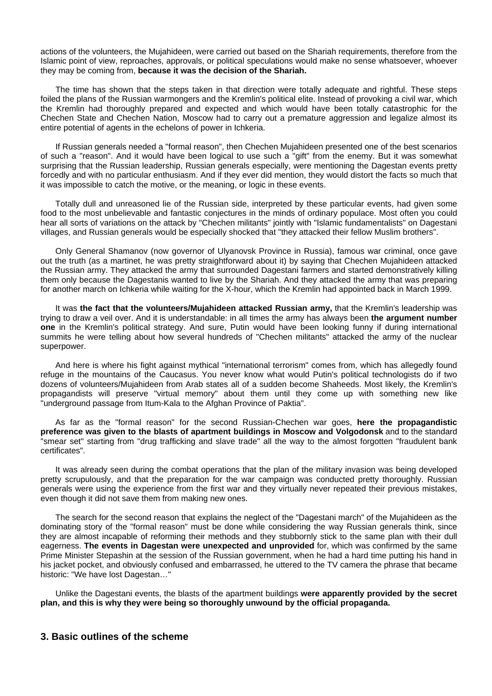actions of the volunteers, the Mujahideen, were carried out based on the Shariah requirements, therefore from the Islamic point of view, reproaches, approvals, or political speculations would make no sense whatsoever, whoever they may be coming from, **because it was the decision of the Shariah.**

The time has shown that the steps taken in that direction were totally adequate and rightful. These steps foiled the plans of the Russian warmongers and the Kremlin's political elite. Instead of provoking a civil war, which the Kremlin had thoroughly prepared and expected and which would have been totally catastrophic for the Chechen State and Chechen Nation, Moscow had to carry out a premature aggression and legalize almost its entire potential of agents in the echelons of power in Ichkeria.

If Russian generals needed a "formal reason", then Chechen Mujahideen presented one of the best scenarios of such a "reason". And it would have been logical to use such a "gift" from the enemy. But it was somewhat surprising that the Russian leadership, Russian generals especially, were mentioning the Dagestan events pretty forcedly and with no particular enthusiasm. And if they ever did mention, they would distort the facts so much that it was impossible to catch the motive, or the meaning, or logic in these events.

Totally dull and unreasoned lie of the Russian side, interpreted by these particular events, had given some food to the most unbelievable and fantastic conjectures in the minds of ordinary populace. Most often you could hear all sorts of variations on the attack by "Chechen militants" jointly with "Islamic fundamentalists" on Dagestani villages, and Russian generals would be especially shocked that "they attacked their fellow Muslim brothers".

Only General Shamanov (now governor of Ulyanovsk Province in Russia), famous war criminal, once gave out the truth (as a martinet, he was pretty straightforward about it) by saying that Chechen Mujahideen attacked the Russian army. They attacked the army that surrounded Dagestani farmers and started demonstratively killing them only because the Dagestanis wanted to live by the Shariah. And they attacked the army that was preparing for another march on Ichkeria while waiting for the X-hour, which the Kremlin had appointed back in March 1999.

It was **the fact that the volunteers/Mujahideen attacked Russian army,** that the Kremlin's leadership was trying to draw a veil over. And it is understandable: in all times the army has always been **the argument number one** in the Kremlin's political strategy. And sure, Putin would have been looking funny if during international summits he were telling about how several hundreds of "Chechen militants" attacked the army of the nuclear superpower.

And here is where his fight against mythical "international terrorism" comes from, which has allegedly found refuge in the mountains of the Caucasus. You never know what would Putin's political technologists do if two dozens of volunteers/Mujahideen from Arab states all of a sudden become Shaheeds. Most likely, the Kremlin's propagandists will preserve "virtual memory" about them until they come up with something new like "underground passage from Itum-Kala to the Afghan Province of Paktia".

As far as the "formal reason" for the second Russian-Chechen war goes, **here the propagandistic preference was given to the blasts of apartment buildings in Moscow and Volgodonsk** and to the standard "smear set" starting from "drug trafficking and slave trade" all the way to the almost forgotten "fraudulent bank certificates".

It was already seen during the combat operations that the plan of the military invasion was being developed pretty scrupulously, and that the preparation for the war campaign was conducted pretty thoroughly. Russian generals were using the experience from the first war and they virtually never repeated their previous mistakes, even though it did not save them from making new ones.

The search for the second reason that explains the neglect of the "Dagestani march" of the Mujahideen as the dominating story of the "formal reason" must be done while considering the way Russian generals think, since they are almost incapable of reforming their methods and they stubbornly stick to the same plan with their dull eagerness. **The events in Dagestan were unexpected and unprovided** for, which was confirmed by the same Prime Minister Stepashin at the session of the Russian government, when he had a hard time putting his hand in his jacket pocket, and obviously confused and embarrassed, he uttered to the TV camera the phrase that became historic: "We have lost Dagestan…"

Unlike the Dagestani events, the blasts of the apartment buildings **were apparently provided by the secret plan, and this is why they were being so thoroughly unwound by the official propaganda.**

# **[3. Basic outlines of the scheme](#page-0-0)**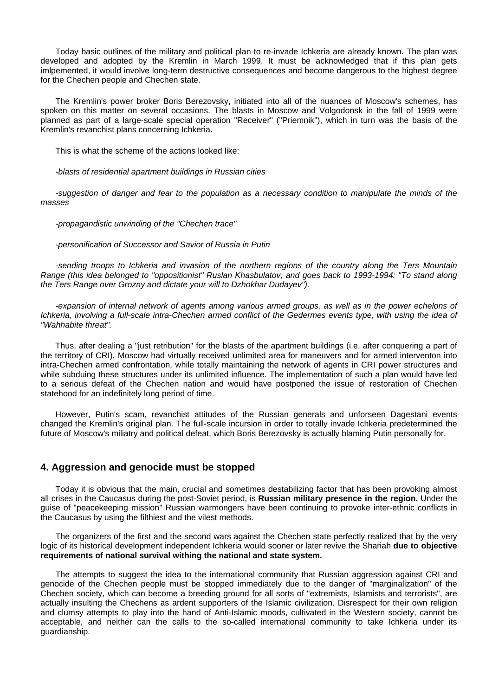<span id="page-5-0"></span>Today basic outlines of the military and political plan to re-invade Ichkeria are already known. The plan was developed and adopted by the Kremlin in March 1999. It must be acknowledged that if this plan gets imlpemented, it would involve long-term destructive consequences and become dangerous to the highest degree for the Chechen people and Chechen state.

The Kremlin's power broker Boris Berezovsky, initiated into all of the nuances of Moscow's schemes, has spoken on this matter on several occasions. The blasts in Moscow and Volgodonsk in the fall of 1999 were planned as part of a large-scale special operation "Receiver" ("Priemnik"), which in turn was the basis of the Kremlin's revanchist plans concerning Ichkeria.

This is what the scheme of the actions looked like:

*-blasts of residential apartment buildings in Russian cities* 

*-suggestion of danger and fear to the population as a necessary condition to manipulate the minds of the masses* 

*-propagandistic unwinding of the "Chechen trace"* 

*-personification of Successor and Savior of Russia in Putin* 

*-sending troops to Ichkeria and invasion of the northern regions of the country along the Ters Mountain Range (this idea belonged to "oppositionist" Ruslan Khasbulatov, and goes back to 1993-1994: "To stand along the Ters Range over Grozny and dictate your will to Dzhokhar Dudayev").* 

-expansion of internal network of agents among various armed groups, as well as in the power echelons of *Ichkeria, involving a full-scale intra-Chechen armed conflict of the Gedermes events type, with using the idea of "Wahhabite threat".*

Thus, after dealing a "just retribution" for the blasts of the apartment buildings (i.e. after conquering a part of the territory of CRI), Moscow had virtually received unlimited area for maneuvers and for armed interventon into intra-Chechen armed confrontation, while totally maintaining the network of agents in CRI power structures and while subduing these structures under its unlimited influence. The implementation of such a plan would have led to a serious defeat of the Chechen nation and would have postponed the issue of restoration of Chechen statehood for an indefinitely long period of time.

However, Putin's scam, revanchist attitudes of the Russian generals and unforseen Dagestani events changed the Kremlin's original plan. The full-scale incursion in order to totally invade Ichkeria predetermined the future of Moscow's miliatry and political defeat, which Boris Berezovsky is actually blaming Putin personally for.

## <span id="page-5-1"></span>**[4. Aggression and genocide must be stopped](#page-0-0)**

Today it is obvious that the main, crucial and sometimes destabilizing factor that has been provoking almost all crises in the Caucasus during the post-Soviet period, is **Russian military presence in the region.** Under the guise of "peacekeeping mission" Russian warmongers have been continuing to provoke inter-ethnic conflicts in the Caucasus by using the filthiest and the vilest methods.

The organizers of the first and the second wars against the Chechen state perfectly realized that by the very logic of its historical development independent Ichkeria would sooner or later revive the Shariah **due to objective requirements of national survival withing the national and state system.**

The attempts to suggest the idea to the international community that Russian aggression against CRI and genocide of the Chechen people must be stopped immediately due to the danger of "marginalization" of the Chechen society, which can become a breeding ground for all sorts of "extremists, Islamists and terrorists", are actually insulting the Chechens as ardent supporters of the Islamic civilization. Disrespect for their own religion and clumsy attempts to play into the hand of Anti-Islamic moods, cultivated in the Western society, cannot be acceptable, and neither can the calls to the so-called international community to take Ichkeria under its guardianship.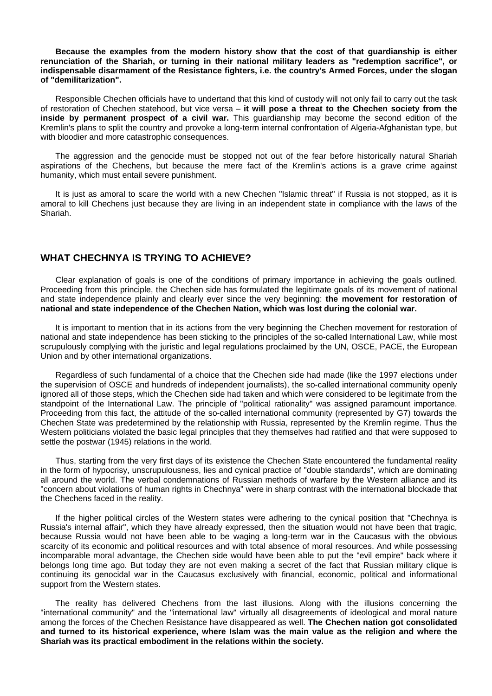**Because the examples from the modern history show that the cost of that guardianship is either renunciation of the Shariah, or turning in their national military leaders as "redemption sacrifice", or indispensable disarmament of the Resistance fighters, i.e. the country's Armed Forces, under the slogan of "demilitarization".**

Responsible Chechen officials have to undertand that this kind of custody will not only fail to carry out the task of restoration of Chechen statehood, but vice versa – **it will pose a threat to the Chechen society from the inside by permanent prospect of a civil war.** This guardianship may become the second edition of the Kremlin's plans to split the country and provoke a long-term internal confrontation of Algeria-Afghanistan type, but with bloodier and more catastrophic consequences.

The aggression and the genocide must be stopped not out of the fear before historically natural Shariah aspirations of the Chechens, but because the mere fact of the Kremlin's actions is a grave crime against humanity, which must entail severe punishment.

It is just as amoral to scare the world with a new Chechen "Islamic threat" if Russia is not stopped, as it is amoral to kill Chechens just because they are living in an independent state in compliance with the laws of the Shariah.

# <span id="page-6-0"></span>**[WHAT CHECHNYA IS TRYING TO ACHIEVE?](#page-0-0)**

Clear explanation of goals is one of the conditions of primary importance in achieving the goals outlined. Proceeding from this principle, the Chechen side has formulated the legitimate goals of its movement of national and state independence plainly and clearly ever since the very beginning: **the movement for restoration of national and state independence of the Chechen Nation, which was lost during the colonial war.**

It is important to mention that in its actions from the very beginning the Chechen movement for restoration of national and state independence has been sticking to the principles of the so-called International Law, while most scrupulously complying with the juristic and legal regulations proclaimed by the UN, OSCE, PACE, the European Union and by other international organizations.

Regardless of such fundamental of a choice that the Chechen side had made (like the 1997 elections under the supervision of OSCE and hundreds of independent journalists), the so-called international community openly ignored all of those steps, which the Chechen side had taken and which were considered to be legitimate from the standpoint of the International Law. The principle of "political rationality" was assigned paramount importance. Proceeding from this fact, the attitude of the so-called international community (represented by G7) towards the Chechen State was predetermined by the relationship with Russia, represented by the Kremlin regime. Thus the Western politicians violated the basic legal principles that they themselves had ratified and that were supposed to settle the postwar (1945) relations in the world.

Thus, starting from the very first days of its existence the Chechen State encountered the fundamental reality in the form of hypocrisy, unscrupulousness, lies and cynical practice of "double standards", which are dominating all around the world. The verbal condemnations of Russian methods of warfare by the Western alliance and its "concern about violations of human rights in Chechnya" were in sharp contrast with the international blockade that the Chechens faced in the reality.

If the higher political circles of the Western states were adhering to the cynical position that "Chechnya is Russia's internal affair", which they have already expressed, then the situation would not have been that tragic, because Russia would not have been able to be waging a long-term war in the Caucasus with the obvious scarcity of its economic and political resources and with total absence of moral resources. And while possessing incomparable moral advantage, the Chechen side would have been able to put the "evil empire" back where it belongs long time ago. But today they are not even making a secret of the fact that Russian military clique is continuing its genocidal war in the Caucasus exclusively with financial, economic, political and informational support from the Western states.

The reality has delivered Chechens from the last illusions. Along with the illusions concerning the "international community" and the "international law" virtually all disagreements of ideological and moral nature among the forces of the Chechen Resistance have disappeared as well. **The Chechen nation got consolidated and turned to its historical experience, where Islam was the main value as the religion and where the Shariah was its practical embodiment in the relations within the society.**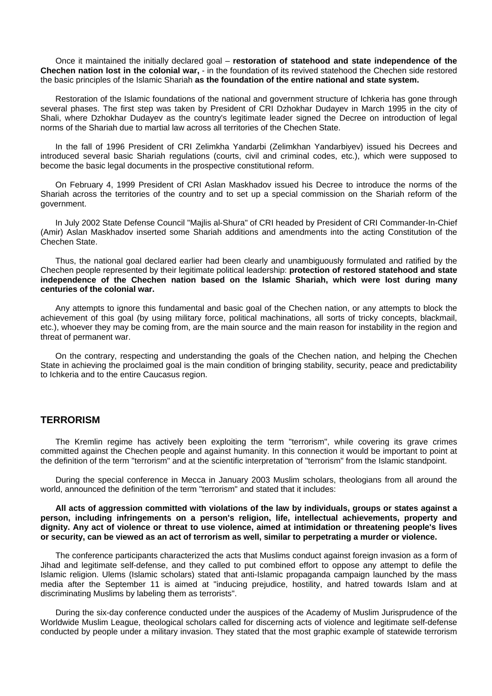Once it maintained the initially declared goal – **restoration of statehood and state independence of the Chechen nation lost in the colonial war,** - in the foundation of its revived statehood the Chechen side restored the basic principles of the Islamic Shariah **as the foundation of the entire national and state system.**

Restoration of the Islamic foundations of the national and government structure of Ichkeria has gone through several phases. The first step was taken by President of CRI Dzhokhar Dudayev in March 1995 in the city of Shali, where Dzhokhar Dudayev as the country's legitimate leader signed the Decree on introduction of legal norms of the Shariah due to martial law across all territories of the Chechen State.

In the fall of 1996 President of CRI Zelimkha Yandarbi (Zelimkhan Yandarbiyev) issued his Decrees and introduced several basic Shariah regulations (courts, civil and criminal codes, etc.), which were supposed to become the basic legal documents in the prospective constitutional reform.

On February 4, 1999 President of CRI Aslan Maskhadov issued his Decree to introduce the norms of the Shariah across the territories of the country and to set up a special commission on the Shariah reform of the government.

In July 2002 State Defense Council "Majlis al-Shura" of CRI headed by President of CRI Commander-In-Chief (Amir) Aslan Maskhadov inserted some Shariah additions and amendments into the acting Constitution of the Chechen State.

Thus, the national goal declared earlier had been clearly and unambiguously formulated and ratified by the Chechen people represented by their legitimate political leadership: **protection of restored statehood and state independence of the Chechen nation based on the Islamic Shariah, which were lost during many centuries of the colonial war.**

Any attempts to ignore this fundamental and basic goal of the Chechen nation, or any attempts to block the achievement of this goal (by using military force, political machinations, all sorts of tricky concepts, blackmail, etc.), whoever they may be coming from, are the main source and the main reason for instability in the region and threat of permanent war.

On the contrary, respecting and understanding the goals of the Chechen nation, and helping the Chechen State in achieving the proclaimed goal is the main condition of bringing stability, security, peace and predictability to Ichkeria and to the entire Caucasus region.

# <span id="page-7-0"></span>**[TERRORISM](#page-0-0)**

The Kremlin regime has actively been exploiting the term "terrorism", while covering its grave crimes committed against the Chechen people and against humanity. In this connection it would be important to point at the definition of the term "terrorism" and at the scientific interpretation of "terrorism" from the Islamic standpoint.

During the special conference in Mecca in January 2003 Muslim scholars, theologians from all around the world, announced the definition of the term "terrorism" and stated that it includes:

**All acts of aggression committed with violations of the law by individuals, groups or states against a person, including infringements on a person's religion, life, intellectual achievements, property and dignity. Any act of violence or threat to use violence, aimed at intimidation or threatening people's lives or security, can be viewed as an act of terrorism as well, similar to perpetrating a murder or violence.** 

The conference participants characterized the acts that Muslims conduct against foreign invasion as a form of Jihad and legitimate self-defense, and they called to put combined effort to oppose any attempt to defile the Islamic religion. Ulems (Islamic scholars) stated that anti-Islamic propaganda campaign launched by the mass media after the September 11 is aimed at "inducing prejudice, hostility, and hatred towards Islam and at discriminating Muslims by labeling them as terrorists".

During the six-day conference conducted under the auspices of the Academy of Muslim Jurisprudence of the Worldwide Muslim League, theological scholars called for discerning acts of violence and legitimate self-defense conducted by people under a military invasion. They stated that the most graphic example of statewide terrorism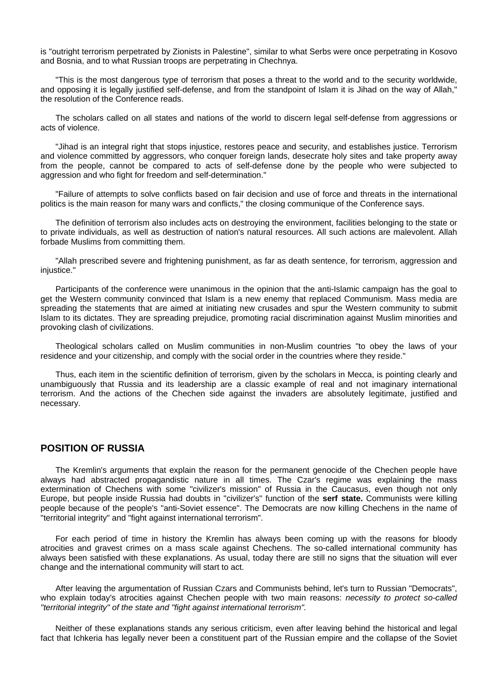is "outright terrorism perpetrated by Zionists in Palestine", similar to what Serbs were once perpetrating in Kosovo and Bosnia, and to what Russian troops are perpetrating in Chechnya.

"This is the most dangerous type of terrorism that poses a threat to the world and to the security worldwide, and opposing it is legally justified self-defense, and from the standpoint of Islam it is Jihad on the way of Allah," the resolution of the Conference reads.

The scholars called on all states and nations of the world to discern legal self-defense from aggressions or acts of violence.

"Jihad is an integral right that stops injustice, restores peace and security, and establishes justice. Terrorism and violence committed by aggressors, who conquer foreign lands, desecrate holy sites and take property away from the people, cannot be compared to acts of self-defense done by the people who were subjected to aggression and who fight for freedom and self-determination."

"Failure of attempts to solve conflicts based on fair decision and use of force and threats in the international politics is the main reason for many wars and conflicts," the closing communique of the Conference says.

The definition of terrorism also includes acts on destroying the environment, facilities belonging to the state or to private individuals, as well as destruction of nation's natural resources. All such actions are malevolent. Allah forbade Muslims from committing them.

"Allah prescribed severe and frightening punishment, as far as death sentence, for terrorism, aggression and injustice."

Participants of the conference were unanimous in the opinion that the anti-Islamic campaign has the goal to get the Western community convinced that Islam is a new enemy that replaced Communism. Mass media are spreading the statements that are aimed at initiating new crusades and spur the Western community to submit Islam to its dictates. They are spreading prejudice, promoting racial discrimination against Muslim minorities and provoking clash of civilizations.

Theological scholars called on Muslim communities in non-Muslim countries "to obey the laws of your residence and your citizenship, and comply with the social order in the countries where they reside."

Thus, each item in the scientific definition of terrorism, given by the scholars in Mecca, is pointing clearly and unambiguously that Russia and its leadership are a classic example of real and not imaginary international terrorism. And the actions of the Chechen side against the invaders are absolutely legitimate, justified and necessary.

# <span id="page-8-0"></span>**[POSITION OF RUSSIA](#page-0-0)**

The Kremlin's arguments that explain the reason for the permanent genocide of the Chechen people have always had abstracted propagandistic nature in all times. The Czar's regime was explaining the mass extermination of Chechens with some "civilizer's mission" of Russia in the Caucasus, even though not only Europe, but people inside Russia had doubts in "civilizer's" function of the **serf state.** Communists were killing people because of the people's "anti-Soviet essence". The Democrats are now killing Chechens in the name of "territorial integrity" and "fight against international terrorism".

For each period of time in history the Kremlin has always been coming up with the reasons for bloody atrocities and gravest crimes on a mass scale against Chechens. The so-called international community has always been satisfied with these explanations. As usual, today there are still no signs that the situation will ever change and the international community will start to act.

After leaving the argumentation of Russian Czars and Communists behind, let's turn to Russian "Democrats", who explain today's atrocities against Chechen people with two main reasons: *necessity to protect so-called "territorial integrity" of the state and "fight against international terrorism".*

Neither of these explanations stands any serious criticism, even after leaving behind the historical and legal fact that Ichkeria has legally never been a constituent part of the Russian empire and the collapse of the Soviet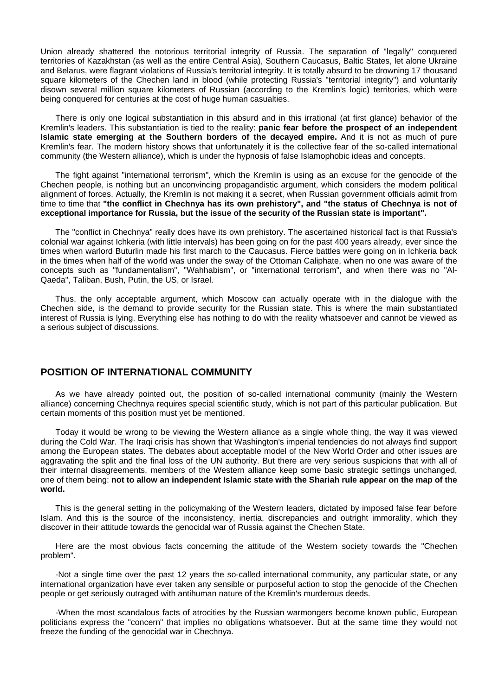Union already shattered the notorious territorial integrity of Russia. The separation of "legally" conquered territories of Kazakhstan (as well as the entire Central Asia), Southern Caucasus, Baltic States, let alone Ukraine and Belarus, were flagrant violations of Russia's territorial integrity. It is totally absurd to be drowning 17 thousand square kilometers of the Chechen land in blood (while protecting Russia's "territorial integrity") and voluntarily disown several million square kilometers of Russian (according to the Kremlin's logic) territories, which were being conquered for centuries at the cost of huge human casualties.

There is only one logical substantiation in this absurd and in this irrational (at first glance) behavior of the Kremlin's leaders. This substantiation is tied to the reality: **panic fear before the prospect of an independent Islamic state emerging at the Southern borders of the decayed empire.** And it is not as much of pure Kremlin's fear. The modern history shows that unfortunately it is the collective fear of the so-called international community (the Western alliance), which is under the hypnosis of false Islamophobic ideas and concepts.

The fight against "international terrorism", which the Kremlin is using as an excuse for the genocide of the Chechen people, is nothing but an unconvincing propagandistic argument, which considers the modern political alignment of forces. Actually, the Kremlin is not making it a secret, when Russian government officials admit from time to time that **"the conflict in Chechnya has its own prehistory", and "the status of Chechnya is not of exceptional importance for Russia, but the issue of the security of the Russian state is important".**

The "conflict in Chechnya" really does have its own prehistory. The ascertained historical fact is that Russia's colonial war against Ichkeria (with little intervals) has been going on for the past 400 years already, ever since the times when warlord Buturlin made his first march to the Caucasus. Fierce battles were going on in Ichkeria back in the times when half of the world was under the sway of the Ottoman Caliphate, when no one was aware of the concepts such as "fundamentalism", "Wahhabism", or "international terrorism", and when there was no "Al-Qaeda", Taliban, Bush, Putin, the US, or Israel.

Thus, the only acceptable argument, which Moscow can actually operate with in the dialogue with the Chechen side, is the demand to provide security for the Russian state. This is where the main substantiated interest of Russia is lying. Everything else has nothing to do with the reality whatsoever and cannot be viewed as a serious subject of discussions.

# <span id="page-9-0"></span>**[POSITION OF INTERNATIONAL COMMUNITY](#page-0-0)**

As we have already pointed out, the position of so-called international community (mainly the Western alliance) concerning Chechnya requires special scientific study, which is not part of this particular publication. But certain moments of this position must yet be mentioned.

Today it would be wrong to be viewing the Western alliance as a single whole thing, the way it was viewed during the Cold War. The Iraqi crisis has shown that Washington's imperial tendencies do not always find support among the European states. The debates about acceptable model of the New World Order and other issues are aggravating the split and the final loss of the UN authority. But there are very serious suspicions that with all of their internal disagreements, members of the Western alliance keep some basic strategic settings unchanged, one of them being: **not to allow an independent Islamic state with the Shariah rule appear on the map of the world.**

This is the general setting in the policymaking of the Western leaders, dictated by imposed false fear before Islam. And this is the source of the inconsistency, inertia, discrepancies and outright immorality, which they discover in their attitude towards the genocidal war of Russia against the Chechen State.

Here are the most obvious facts concerning the attitude of the Western society towards the "Chechen problem".

-Not a single time over the past 12 years the so-called international community, any particular state, or any international organization have ever taken any sensible or purposeful action to stop the genocide of the Chechen people or get seriously outraged with antihuman nature of the Kremlin's murderous deeds.

-When the most scandalous facts of atrocities by the Russian warmongers become known public, European politicians express the "concern" that implies no obligations whatsoever. But at the same time they would not freeze the funding of the genocidal war in Chechnya.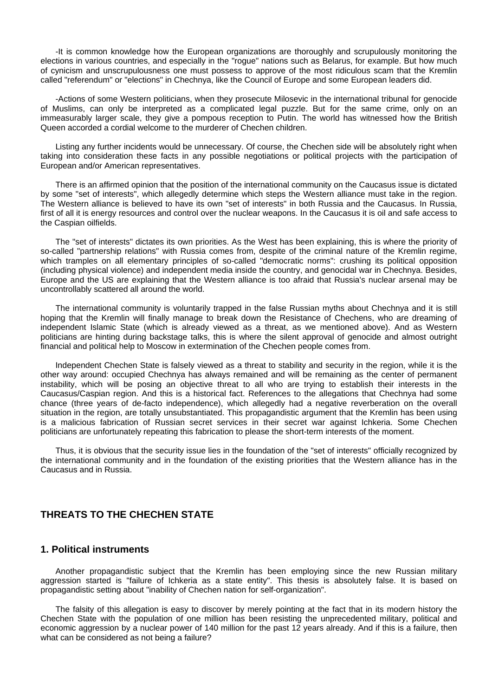-It is common knowledge how the European organizations are thoroughly and scrupulously monitoring the elections in various countries, and especially in the "rogue" nations such as Belarus, for example. But how much of cynicism and unscrupulousness one must possess to approve of the most ridiculous scam that the Kremlin called "referendum" or "elections" in Chechnya, like the Council of Europe and some European leaders did.

-Actions of some Western politicians, when they prosecute Milosevic in the international tribunal for genocide of Muslims, can only be interpreted as a complicated legal puzzle. But for the same crime, only on an immeasurably larger scale, they give a pompous reception to Putin. The world has witnessed how the British Queen accorded a cordial welcome to the murderer of Chechen children.

Listing any further incidents would be unnecessary. Of course, the Chechen side will be absolutely right when taking into consideration these facts in any possible negotiations or political projects with the participation of European and/or American representatives.

There is an affirmed opinion that the position of the international community on the Caucasus issue is dictated by some "set of interests", which allegedly determine which steps the Western alliance must take in the region. The Western alliance is believed to have its own "set of interests" in both Russia and the Caucasus. In Russia, first of all it is energy resources and control over the nuclear weapons. In the Caucasus it is oil and safe access to the Caspian oilfields.

The "set of interests" dictates its own priorities. As the West has been explaining, this is where the priority of so-called "partnership relations" with Russia comes from, despite of the criminal nature of the Kremlin regime, which tramples on all elementary principles of so-called "democratic norms": crushing its political opposition (including physical violence) and independent media inside the country, and genocidal war in Chechnya. Besides, Europe and the US are explaining that the Western alliance is too afraid that Russia's nuclear arsenal may be uncontrollably scattered all around the world.

The international community is voluntarily trapped in the false Russian myths about Chechnya and it is still hoping that the Kremlin will finally manage to break down the Resistance of Chechens, who are dreaming of independent Islamic State (which is already viewed as a threat, as we mentioned above). And as Western politicians are hinting during backstage talks, this is where the silent approval of genocide and almost outright financial and political help to Moscow in extermination of the Chechen people comes from.

Independent Chechen State is falsely viewed as a threat to stability and security in the region, while it is the other way around: occupied Chechnya has always remained and will be remaining as the center of permanent instability, which will be posing an objective threat to all who are trying to establish their interests in the Caucasus/Caspian region. And this is a historical fact. References to the allegations that Chechnya had some chance (three years of de-facto independence), which allegedly had a negative reverberation on the overall situation in the region, are totally unsubstantiated. This propagandistic argument that the Kremlin has been using is a malicious fabrication of Russian secret services in their secret war against Ichkeria. Some Chechen politicians are unfortunately repeating this fabrication to please the short-term interests of the moment.

Thus, it is obvious that the security issue lies in the foundation of the "set of interests" officially recognized by the international community and in the foundation of the existing priorities that the Western alliance has in the Caucasus and in Russia.

# <span id="page-10-0"></span>**[THREATS TO THE CHECHEN STATE](#page-0-0)**

# **[1. Political instruments](#page-0-0)**

Another propagandistic subject that the Kremlin has been employing since the new Russian military aggression started is "failure of Ichkeria as a state entity". This thesis is absolutely false. It is based on propagandistic setting about "inability of Chechen nation for self-organization".

The falsity of this allegation is easy to discover by merely pointing at the fact that in its modern history the Chechen State with the population of one million has been resisting the unprecedented military, political and economic aggression by a nuclear power of 140 million for the past 12 years already. And if this is a failure, then what can be considered as not being a failure?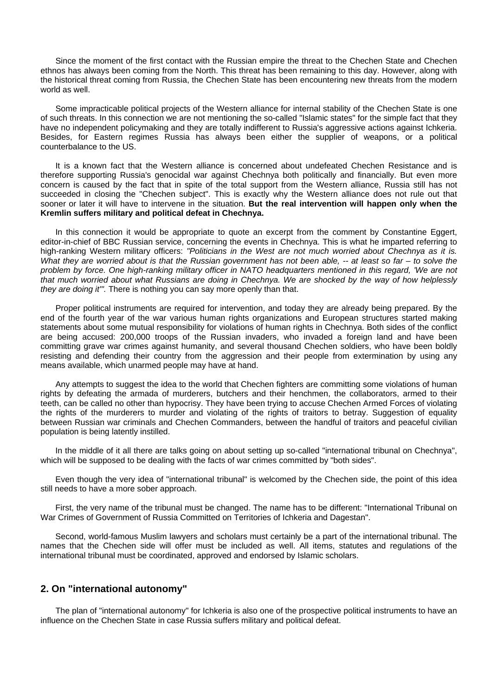<span id="page-11-0"></span>Since the moment of the first contact with the Russian empire the threat to the Chechen State and Chechen ethnos has always been coming from the North. This threat has been remaining to this day. However, along with the historical threat coming from Russia, the Chechen State has been encountering new threats from the modern world as well.

Some impracticable political projects of the Western alliance for internal stability of the Chechen State is one of such threats. In this connection we are not mentioning the so-called "Islamic states" for the simple fact that they have no independent policymaking and they are totally indifferent to Russia's aggressive actions against Ichkeria. Besides, for Eastern regimes Russia has always been either the supplier of weapons, or a political counterbalance to the US.

It is a known fact that the Western alliance is concerned about undefeated Chechen Resistance and is therefore supporting Russia's genocidal war against Chechnya both politically and financially. But even more concern is caused by the fact that in spite of the total support from the Western alliance, Russia still has not succeeded in closing the "Chechen subject". This is exactly why the Western alliance does not rule out that sooner or later it will have to intervene in the situation. **But the real intervention will happen only when the Kremlin suffers military and political defeat in Chechnya.** 

In this connection it would be appropriate to quote an excerpt from the comment by Constantine Eggert, editor-in-chief of BBC Russian service, concerning the events in Chechnya. This is what he imparted referring to high-ranking Western military officers: *"Politicians in the West are not much worried about Chechnya as it is. What they are worried about is that the Russian government has not been able, -- at least so far – to solve the* problem by force. One high-ranking military officer in NATO headquarters mentioned in this regard, 'We are not *that much worried about what Russians are doing in Chechnya. We are shocked by the way of how helplessly they are doing it'".* There is nothing you can say more openly than that.

Proper political instruments are required for intervention, and today they are already being prepared. By the end of the fourth year of the war various human rights organizations and European structures started making statements about some mutual responsibility for violations of human rights in Chechnya. Both sides of the conflict are being accused: 200,000 troops of the Russian invaders, who invaded a foreign land and have been committing grave war crimes against humanity, and several thousand Chechen soldiers, who have been boldly resisting and defending their country from the aggression and their people from extermination by using any means available, which unarmed people may have at hand.

Any attempts to suggest the idea to the world that Chechen fighters are committing some violations of human rights by defeating the armada of murderers, butchers and their henchmen, the collaborators, armed to their teeth, can be called no other than hypocrisy. They have been trying to accuse Chechen Armed Forces of violating the rights of the murderers to murder and violating of the rights of traitors to betray. Suggestion of equality between Russian war criminals and Chechen Commanders, between the handful of traitors and peaceful civilian population is being latently instilled.

In the middle of it all there are talks going on about setting up so-called "international tribunal on Chechnya", which will be supposed to be dealing with the facts of war crimes committed by "both sides".

Even though the very idea of "international tribunal" is welcomed by the Chechen side, the point of this idea still needs to have a more sober approach.

First, the very name of the tribunal must be changed. The name has to be different: "International Tribunal on War Crimes of Government of Russia Committed on Territories of Ichkeria and Dagestan".

Second, world-famous Muslim lawyers and scholars must certainly be a part of the international tribunal. The names that the Chechen side will offer must be included as well. All items, statutes and regulations of the international tribunal must be coordinated, approved and endorsed by Islamic scholars.

# **[2. On "international autonomy"](#page-0-0)**

The plan of "international autonomy" for Ichkeria is also one of the prospective political instruments to have an influence on the Chechen State in case Russia suffers military and political defeat.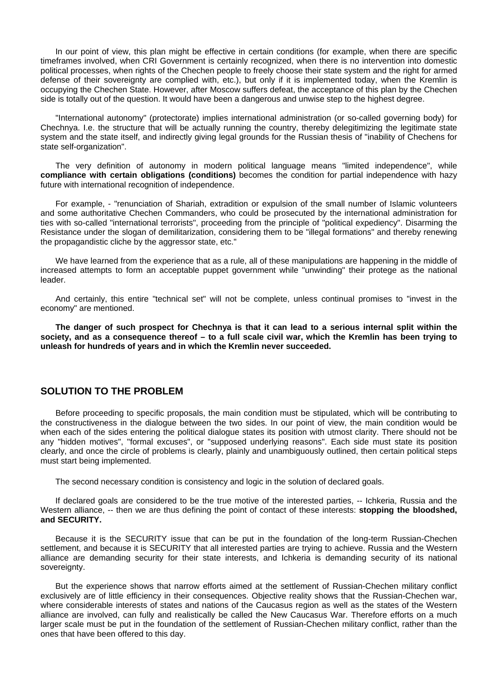<span id="page-12-0"></span>In our point of view, this plan might be effective in certain conditions (for example, when there are specific timeframes involved, when CRI Government is certainly recognized, when there is no intervention into domestic political processes, when rights of the Chechen people to freely choose their state system and the right for armed defense of their sovereignty are complied with, etc.), but only if it is implemented today, when the Kremlin is occupying the Chechen State. However, after Moscow suffers defeat, the acceptance of this plan by the Chechen side is totally out of the question. It would have been a dangerous and unwise step to the highest degree.

"International autonomy" (protectorate) implies international administration (or so-called governing body) for Chechnya. I.e. the structure that will be actually running the country, thereby delegitimizing the legitimate state system and the state itself, and indirectly giving legal grounds for the Russian thesis of "inability of Chechens for state self-organization".

The very definition of autonomy in modern political language means "limited independence", while **compliance with certain obligations (conditions)** becomes the condition for partial independence with hazy future with international recognition of independence.

For example, - "renunciation of Shariah, extradition or expulsion of the small number of Islamic volunteers and some authoritative Chechen Commanders, who could be prosecuted by the international administration for ties with so-called "international terrorists", proceeding from the principle of "political expediency". Disarming the Resistance under the slogan of demilitarization, considering them to be "illegal formations" and thereby renewing the propagandistic cliche by the aggressor state, etc."

We have learned from the experience that as a rule, all of these manipulations are happening in the middle of increased attempts to form an acceptable puppet government while "unwinding" their protege as the national leader.

And certainly, this entire "technical set" will not be complete, unless continual promises to "invest in the economy" are mentioned.

**The danger of such prospect for Chechnya is that it can lead to a serious internal split within the society, and as a consequence thereof – to a full scale civil war, which the Kremlin has been trying to unleash for hundreds of years and in which the Kremlin never succeeded.**

#### <span id="page-12-1"></span>**[SOLUTION TO THE PROBLEM](#page-0-0)**

Before proceeding to specific proposals, the main condition must be stipulated, which will be contributing to the constructiveness in the dialogue between the two sides. In our point of view, the main condition would be when each of the sides entering the political dialogue states its position with utmost clarity. There should not be any "hidden motives", "formal excuses", or "supposed underlying reasons". Each side must state its position clearly, and once the circle of problems is clearly, plainly and unambiguously outlined, then certain political steps must start being implemented.

The second necessary condition is consistency and logic in the solution of declared goals.

If declared goals are considered to be the true motive of the interested parties, -- Ichkeria, Russia and the Western alliance, -- then we are thus defining the point of contact of these interests: **stopping the bloodshed, and SECURITY.**

Because it is the SECURITY issue that can be put in the foundation of the long-term Russian-Chechen settlement, and because it is SECURITY that all interested parties are trying to achieve. Russia and the Western alliance are demanding security for their state interests, and Ichkeria is demanding security of its national sovereignty.

But the experience shows that narrow efforts aimed at the settlement of Russian-Chechen military conflict exclusively are of little efficiency in their consequences. Objective reality shows that the Russian-Chechen war, where considerable interests of states and nations of the Caucasus region as well as the states of the Western alliance are involved, can fully and realistically be called the New Caucasus War. Therefore efforts on a much larger scale must be put in the foundation of the settlement of Russian-Chechen military conflict, rather than the ones that have been offered to this day.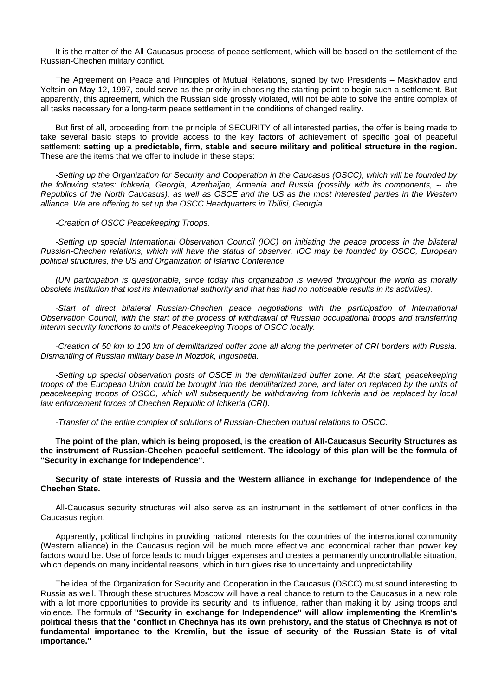It is the matter of the All-Caucasus process of peace settlement, which will be based on the settlement of the Russian-Chechen military conflict.

The Agreement on Peace and Principles of Mutual Relations, signed by two Presidents – Maskhadov and Yeltsin on May 12, 1997, could serve as the priority in choosing the starting point to begin such a settlement. But apparently, this agreement, which the Russian side grossly violated, will not be able to solve the entire complex of all tasks necessary for a long-term peace settlement in the conditions of changed reality.

But first of all, proceeding from the principle of SECURITY of all interested parties, the offer is being made to take several basic steps to provide access to the key factors of achievement of specific goal of peaceful settlement: **setting up a predictable, firm, stable and secure military and political structure in the region.** These are the items that we offer to include in these steps:

*-Setting up the Organization for Security and Cooperation in the Caucasus (OSCC), which will be founded by the following states: Ichkeria, Georgia, Azerbaijan, Armenia and Russia (possibly with its components, -- the Republics of the North Caucasus), as well as OSCE and the US as the most interested parties in the Western alliance. We are offering to set up the OSCC Headquarters in Tbilisi, Georgia.* 

*-Creation of OSCC Peacekeeping Troops.*

*-Setting up special International Observation Council (IOC) on initiating the peace process in the bilateral Russian-Chechen relations, which will have the status of observer. IOC may be founded by OSCC, European political structures, the US and Organization of Islamic Conference.* 

*(UN participation is questionable, since today this organization is viewed throughout the world as morally obsolete institution that lost its international authority and that has had no noticeable results in its activities).*

*-Start of direct bilateral Russian-Chechen peace negotiations with the participation of International Observation Council, with the start of the process of withdrawal of Russian occupational troops and transferring interim security functions to units of Peacekeeping Troops of OSCC locally.* 

*-Creation of 50 km to 100 km of demilitarized buffer zone all along the perimeter of CRI borders with Russia. Dismantling of Russian military base in Mozdok, Ingushetia.* 

*-Setting up special observation posts of OSCE in the demilitarized buffer zone. At the start, peacekeeping troops of the European Union could be brought into the demilitarized zone, and later on replaced by the units of peacekeeping troops of OSCC, which will subsequently be withdrawing from Ichkeria and be replaced by local law enforcement forces of Chechen Republic of Ichkeria (CRI).*

*-Transfer of the entire complex of solutions of Russian-Chechen mutual relations to OSCC.*

**The point of the plan, which is being proposed, is the creation of All-Caucasus Security Structures as the instrument of Russian-Chechen peaceful settlement. The ideology of this plan will be the formula of "Security in exchange for Independence".**

#### **Security of state interests of Russia and the Western alliance in exchange for Independence of the Chechen State.**

All-Caucasus security structures will also serve as an instrument in the settlement of other conflicts in the Caucasus region.

Apparently, political linchpins in providing national interests for the countries of the international community (Western alliance) in the Caucasus region will be much more effective and economical rather than power key factors would be. Use of force leads to much bigger expenses and creates a permanently uncontrollable situation, which depends on many incidental reasons, which in turn gives rise to uncertainty and unpredictability.

The idea of the Organization for Security and Cooperation in the Caucasus (OSCC) must sound interesting to Russia as well. Through these structures Moscow will have a real chance to return to the Caucasus in a new role with a lot more opportunities to provide its security and its influence, rather than making it by using troops and violence. The formula of **"Security in exchange for Independence" will allow implementing the Kremlin's political thesis that the "conflict in Chechnya has its own prehistory, and the status of Chechnya is not of fundamental importance to the Kremlin, but the issue of security of the Russian State is of vital importance."**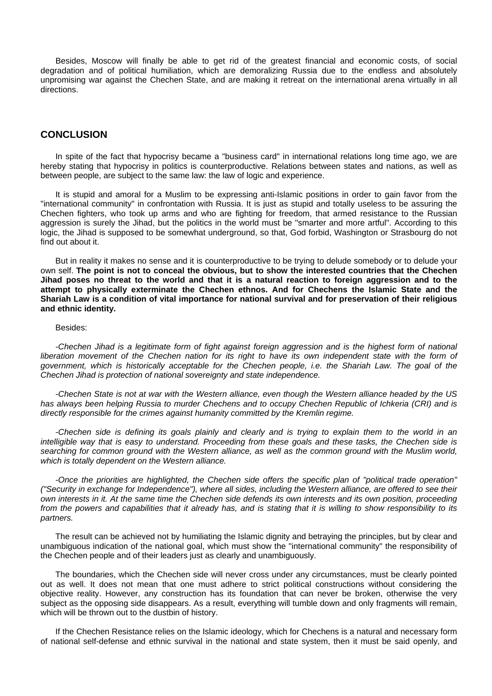Besides, Moscow will finally be able to get rid of the greatest financial and economic costs, of social degradation and of political humiliation, which are demoralizing Russia due to the endless and absolutely unpromising war against the Chechen State, and are making it retreat on the international arena virtually in all directions.

## <span id="page-14-0"></span>**[CONCLUSION](#page-0-0)**

In spite of the fact that hypocrisy became a "business card" in international relations long time ago, we are hereby stating that hypocrisy in politics is counterproductive. Relations between states and nations, as well as between people, are subject to the same law: the law of logic and experience.

It is stupid and amoral for a Muslim to be expressing anti-Islamic positions in order to gain favor from the "international community" in confrontation with Russia. It is just as stupid and totally useless to be assuring the Chechen fighters, who took up arms and who are fighting for freedom, that armed resistance to the Russian aggression is surely the Jihad, but the politics in the world must be "smarter and more artful". According to this logic, the Jihad is supposed to be somewhat underground, so that, God forbid, Washington or Strasbourg do not find out about it.

But in reality it makes no sense and it is counterproductive to be trying to delude somebody or to delude your own self. **The point is not to conceal the obvious, but to show the interested countries that the Chechen Jihad poses no threat to the world and that it is a natural reaction to foreign aggression and to the attempt to physically exterminate the Chechen ethnos. And for Chechens the Islamic State and the Shariah Law is a condition of vital importance for national survival and for preservation of their religious and ethnic identity.** 

#### Besides:

*-Chechen Jihad is a legitimate form of fight against foreign aggression and is the highest form of national*  liberation movement of the Chechen nation for its right to have its own independent state with the form of *government, which is historically acceptable for the Chechen people, i.e. the Shariah Law. The goal of the Chechen Jihad is protection of national sovereignty and state independence.* 

*-Chechen State is not at war with the Western alliance, even though the Western alliance headed by the US has always been helping Russia to murder Chechens and to occupy Chechen Republic of Ichkeria (CRI) and is directly responsible for the crimes against humanity committed by the Kremlin regime.*

*-Chechen side is defining its goals plainly and clearly and is trying to explain them to the world in an intelligible way that is easy to understand. Proceeding from these goals and these tasks, the Chechen side is searching for common ground with the Western alliance, as well as the common ground with the Muslim world, which is totally dependent on the Western alliance.* 

*-Once the priorities are highlighted, the Chechen side offers the specific plan of "political trade operation" ("Security in exchange for Independence"), where all sides, including the Western alliance, are offered to see their own interests in it. At the same time the Chechen side defends its own interests and its own position, proceeding from the powers and capabilities that it already has, and is stating that it is willing to show responsibility to its partners.* 

The result can be achieved not by humiliating the Islamic dignity and betraying the principles, but by clear and unambiguous indication of the national goal, which must show the "international community" the responsibility of the Chechen people and of their leaders just as clearly and unambiguously.

The boundaries, which the Chechen side will never cross under any circumstances, must be clearly pointed out as well. It does not mean that one must adhere to strict political constructions without considering the objective reality. However, any construction has its foundation that can never be broken, otherwise the very subject as the opposing side disappears. As a result, everything will tumble down and only fragments will remain, which will be thrown out to the dustbin of history.

If the Chechen Resistance relies on the Islamic ideology, which for Chechens is a natural and necessary form of national self-defense and ethnic survival in the national and state system, then it must be said openly, and